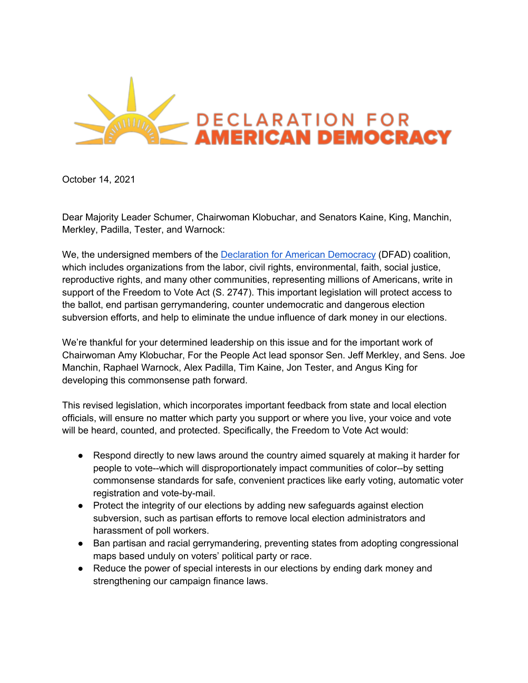

October 14, 2021

Dear Majority Leader Schumer, Chairwoman Klobuchar, and Senators Kaine, King, Manchin, Merkley, Padilla, Tester, and Warnock:

We, the undersigned members of the **Declaration for American Democracy (DFAD)** coalition, which includes organizations from the labor, civil rights, environmental, faith, social justice, reproductive rights, and many other communities, representing millions of Americans, write in support of the Freedom to Vote Act (S. 2747). This important legislation will protect access to the ballot, end partisan gerrymandering, counter undemocratic and dangerous election subversion efforts, and help to eliminate the undue influence of dark money in our elections.

We're thankful for your determined leadership on this issue and for the important work of Chairwoman Amy Klobuchar, For the People Act lead sponsor Sen. Jeff Merkley, and Sens. Joe Manchin, Raphael Warnock, Alex Padilla, Tim Kaine, Jon Tester, and Angus King for developing this commonsense path forward.

This revised legislation, which incorporates important feedback from state and local election officials, will ensure no matter which party you support or where you live, your voice and vote will be heard, counted, and protected. Specifically, the Freedom to Vote Act would:

- Respond directly to new laws around the country aimed squarely at making it harder for people to vote--which will disproportionately impact communities of color--by setting commonsense standards for safe, convenient practices like early voting, automatic voter registration and vote-by-mail.
- Protect the integrity of our elections by adding new safeguards against election subversion, such as partisan efforts to remove local election administrators and harassment of poll workers.
- Ban partisan and racial gerrymandering, preventing states from adopting congressional maps based unduly on voters' political party or race.
- Reduce the power of special interests in our elections by ending dark money and strengthening our campaign finance laws.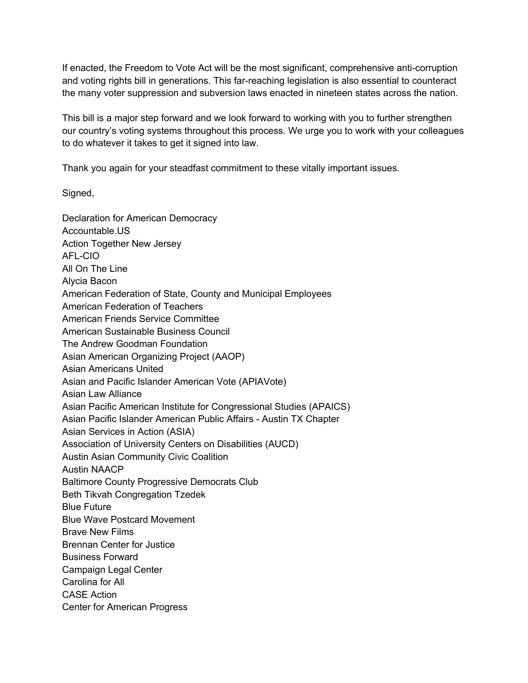If enacted, the Freedom to Vote Act will be the most significant, comprehensive anti-corruption and voting rights bill in generations. This far-reaching legislation is also essential to counteract the many voter suppression and subversion laws enacted in nineteen states across the nation.

This bill is a major step forward and we look forward to working with you to further strengthen our country's voting systems throughout this process. We urge you to work with your colleagues to do whatever it takes to get it signed into law.

Thank you again for your steadfast commitment to these vitally important issues.

Signed,

Declaration for American Democracy Accountable.US Action Together New Jersey AFL-CIO All On The Line Alycia Bacon American Federation of State, County and Municipal Employees American Federation of Teachers American Friends Service Committee American Sustainable Business Council The Andrew Goodman Foundation Asian American Organizing Project (AAOP) Asian Americans United Asian and Pacific Islander American Vote (APIAVote) Asian Law Alliance Asian Pacific American Institute for Congressional Studies (APAICS) Asian Pacific Islander American Public Affairs - Austin TX Chapter Asian Services in Action (ASIA) Association of University Centers on Disabilities (AUCD) Austin Asian Community Civic Coalition Austin NAACP Baltimore County Progressive Democrats Club Beth Tikvah Congregation Tzedek Blue Future Blue Wave Postcard Movement Brave New Films Brennan Center for Justice Business Forward Campaign Legal Center Carolina for All CASE Action Center for American Progress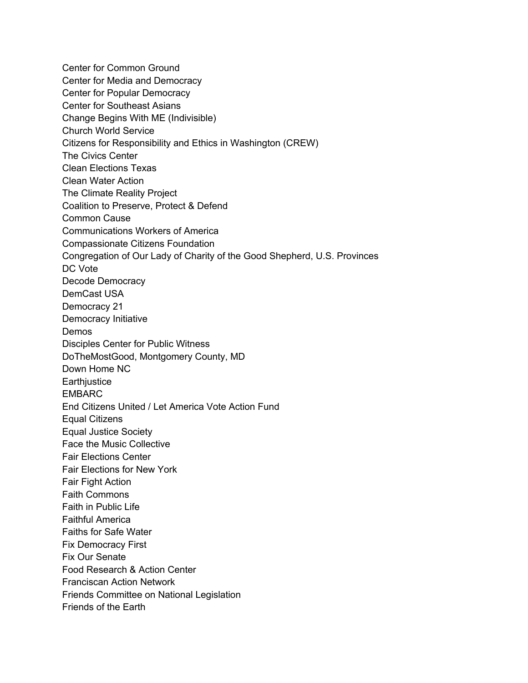Center for Common Ground Center for Media and Democracy Center for Popular Democracy Center for Southeast Asians Change Begins With ME (Indivisible) Church World Service Citizens for Responsibility and Ethics in Washington (CREW) The Civics Center Clean Elections Texas Clean Water Action The Climate Reality Project Coalition to Preserve, Protect & Defend Common Cause Communications Workers of America Compassionate Citizens Foundation Congregation of Our Lady of Charity of the Good Shepherd, U.S. Provinces DC Vote Decode Democracy DemCast USA Democracy 21 Democracy Initiative Demos Disciples Center for Public Witness DoTheMostGood, Montgomery County, MD Down Home NC **Earthjustice** EMBARC End Citizens United / Let America Vote Action Fund Equal Citizens Equal Justice Society Face the Music Collective Fair Elections Center Fair Elections for New York Fair Fight Action Faith Commons Faith in Public Life Faithful America Faiths for Safe Water Fix Democracy First Fix Our Senate Food Research & Action Center Franciscan Action Network Friends Committee on National Legislation Friends of the Earth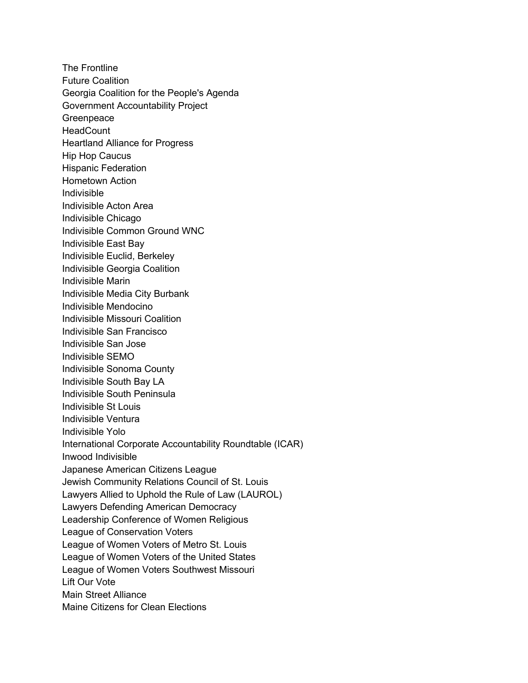The Frontline Future Coalition Georgia Coalition for the People's Agenda Government Accountability Project **Greenpeace HeadCount** Heartland Alliance for Progress Hip Hop Caucus Hispanic Federation Hometown Action Indivisible Indivisible Acton Area Indivisible Chicago Indivisible Common Ground WNC Indivisible East Bay Indivisible Euclid, Berkeley Indivisible Georgia Coalition Indivisible Marin Indivisible Media City Burbank Indivisible Mendocino Indivisible Missouri Coalition Indivisible San Francisco Indivisible San Jose Indivisible SEMO Indivisible Sonoma County Indivisible South Bay LA Indivisible South Peninsula Indivisible St Louis Indivisible Ventura Indivisible Yolo International Corporate Accountability Roundtable (ICAR) Inwood Indivisible Japanese American Citizens League Jewish Community Relations Council of St. Louis Lawyers Allied to Uphold the Rule of Law (LAUROL) Lawyers Defending American Democracy Leadership Conference of Women Religious League of Conservation Voters League of Women Voters of Metro St. Louis League of Women Voters of the United States League of Women Voters Southwest Missouri Lift Our Vote Main Street Alliance Maine Citizens for Clean Elections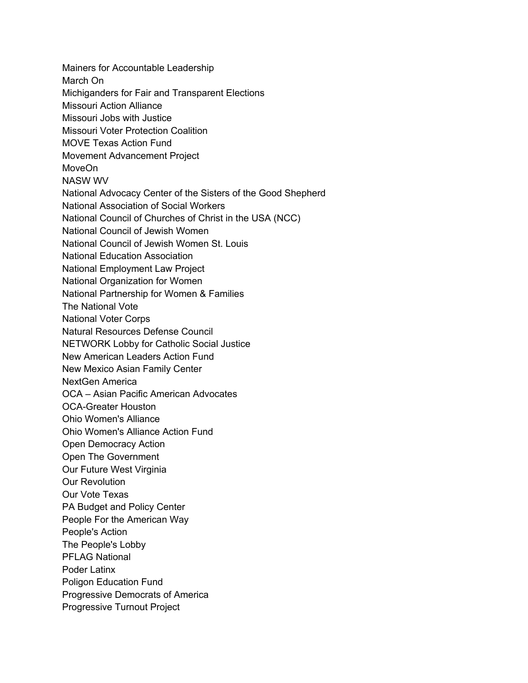Mainers for Accountable Leadership March On Michiganders for Fair and Transparent Elections Missouri Action Alliance Missouri Jobs with Justice Missouri Voter Protection Coalition MOVE Texas Action Fund Movement Advancement Project MoveOn NASW WV National Advocacy Center of the Sisters of the Good Shepherd National Association of Social Workers National Council of Churches of Christ in the USA (NCC) National Council of Jewish Women National Council of Jewish Women St. Louis National Education Association National Employment Law Project National Organization for Women National Partnership for Women & Families The National Vote National Voter Corps Natural Resources Defense Council NETWORK Lobby for Catholic Social Justice New American Leaders Action Fund New Mexico Asian Family Center NextGen America OCA – Asian Pacific American Advocates OCA-Greater Houston Ohio Women's Alliance Ohio Women's Alliance Action Fund Open Democracy Action Open The Government Our Future West Virginia Our Revolution Our Vote Texas PA Budget and Policy Center People For the American Way People's Action The People's Lobby PFLAG National Poder Latinx Poligon Education Fund Progressive Democrats of America Progressive Turnout Project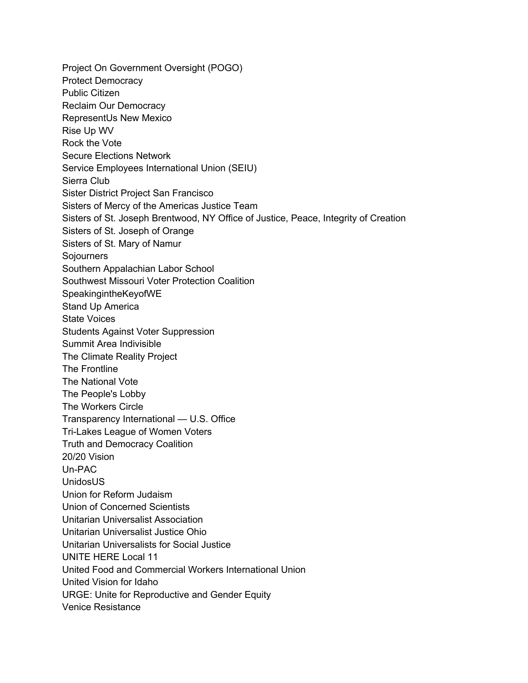Project On Government Oversight (POGO) Protect Democracy Public Citizen Reclaim Our Democracy RepresentUs New Mexico Rise Up WV Rock the Vote Secure Elections Network Service Employees International Union (SEIU) Sierra Club Sister District Project San Francisco Sisters of Mercy of the Americas Justice Team Sisters of St. Joseph Brentwood, NY Office of Justice, Peace, Integrity of Creation Sisters of St. Joseph of Orange Sisters of St. Mary of Namur Sojourners Southern Appalachian Labor School Southwest Missouri Voter Protection Coalition SpeakingintheKeyofWE Stand Up America State Voices Students Against Voter Suppression Summit Area Indivisible The Climate Reality Project The Frontline The National Vote The People's Lobby The Workers Circle Transparency International — U.S. Office Tri-Lakes League of Women Voters Truth and Democracy Coalition 20/20 Vision Un-PAC UnidosUS Union for Reform Judaism Union of Concerned Scientists Unitarian Universalist Association Unitarian Universalist Justice Ohio Unitarian Universalists for Social Justice UNITE HERE Local 11 United Food and Commercial Workers International Union United Vision for Idaho URGE: Unite for Reproductive and Gender Equity Venice Resistance